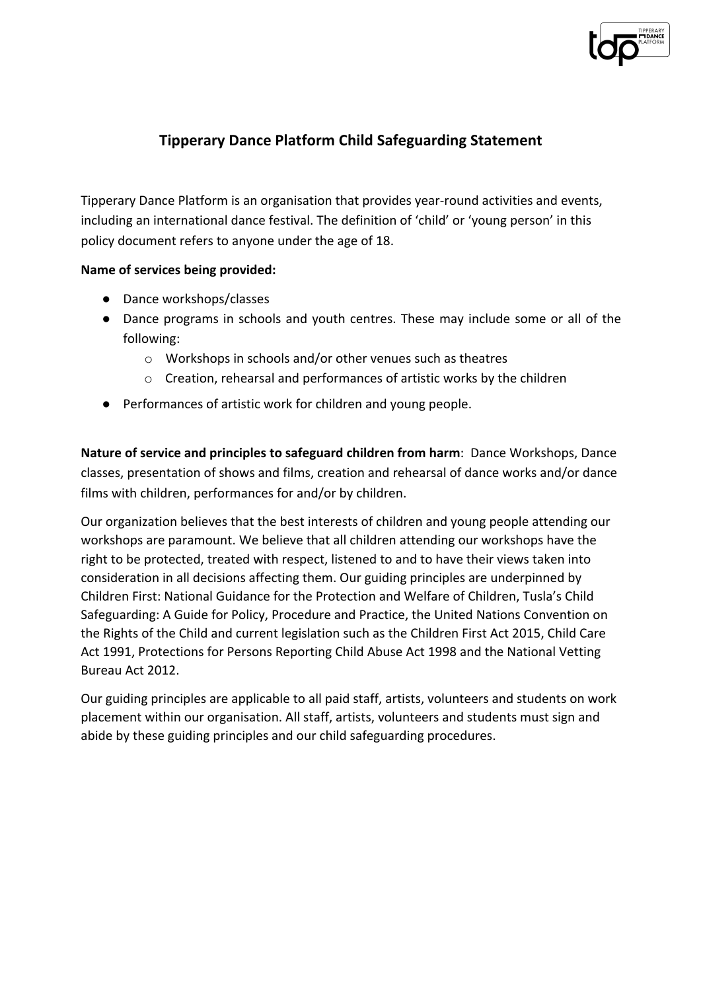

# **Tipperary Dance Platform Child Safeguarding Statement**

Tipperary Dance Platform is an organisation that provides year-round activities and events, including an international dance festival. The definition of 'child' or 'young person' in this policy document refers to anyone under the age of 18.

## **Name of services being provided:**

- Dance workshops/classes
- Dance programs in schools and youth centres. These may include some or all of the following:
	- o Workshops in schools and/or other venues such as theatres
	- o Creation, rehearsal and performances of artistic works by the children
- Performances of artistic work for children and young people.

**Nature of service and principles to safeguard children from harm**: Dance Workshops, Dance classes, presentation of shows and films, creation and rehearsal of dance works and/or dance films with children, performances for and/or by children.

Our organization believes that the best interests of children and young people attending our workshops are paramount. We believe that all children attending our workshops have the right to be protected, treated with respect, listened to and to have their views taken into consideration in all decisions affecting them. Our guiding principles are underpinned by Children First: National Guidance for the Protection and Welfare of Children, Tusla's Child Safeguarding: A Guide for Policy, Procedure and Practice, the United Nations Convention on the Rights of the Child and current legislation such as the Children First Act 2015, Child Care Act 1991, Protections for Persons Reporting Child Abuse Act 1998 and the National Vetting Bureau Act 2012.

Our guiding principles are applicable to all paid staff, artists, volunteers and students on work placement within our organisation. All staff, artists, volunteers and students must sign and abide by these guiding principles and our child safeguarding procedures.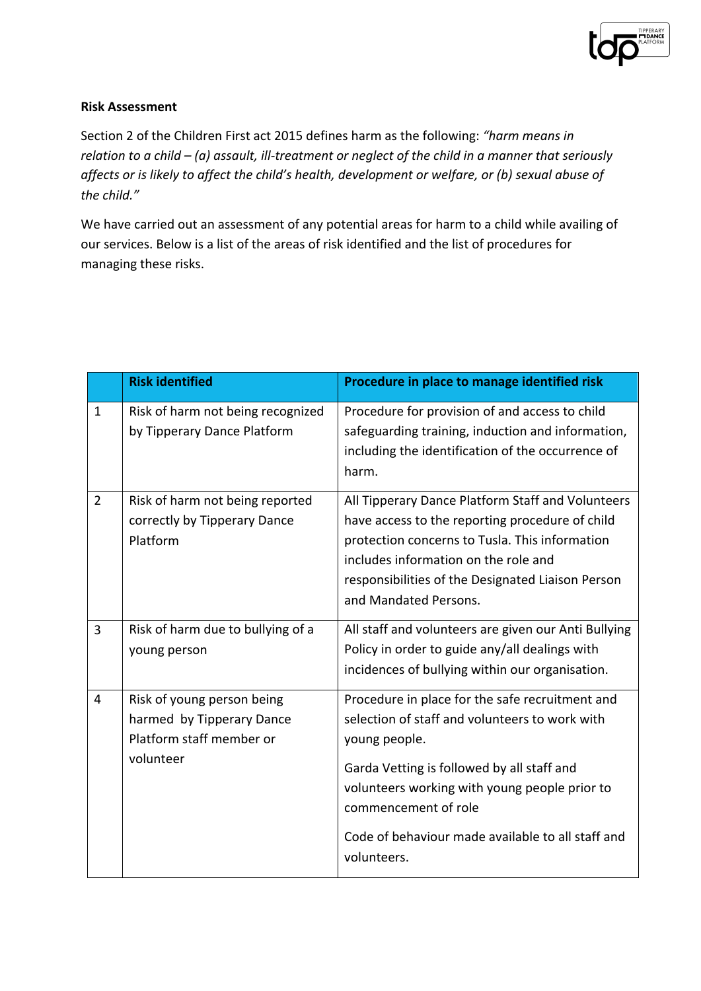

## **Risk Assessment**

Section 2 of the Children First act 2015 defines harm as the following: *"harm means in relation to a child – (a) assault, ill-treatment or neglect of the child in a manner that seriously affects or is likely to affect the child's health, development or welfare, or (b) sexual abuse of the child."*

We have carried out an assessment of any potential areas for harm to a child while availing of our services. Below is a list of the areas of risk identified and the list of procedures for managing these risks.

|                | <b>Risk identified</b>                                                                           | Procedure in place to manage identified risk                                                                                                                                                                                                                                                                  |
|----------------|--------------------------------------------------------------------------------------------------|---------------------------------------------------------------------------------------------------------------------------------------------------------------------------------------------------------------------------------------------------------------------------------------------------------------|
| 1              | Risk of harm not being recognized<br>by Tipperary Dance Platform                                 | Procedure for provision of and access to child<br>safeguarding training, induction and information,<br>including the identification of the occurrence of<br>harm.                                                                                                                                             |
| $\overline{2}$ | Risk of harm not being reported<br>correctly by Tipperary Dance<br>Platform                      | All Tipperary Dance Platform Staff and Volunteers<br>have access to the reporting procedure of child<br>protection concerns to Tusla. This information<br>includes information on the role and<br>responsibilities of the Designated Liaison Person<br>and Mandated Persons.                                  |
| 3              | Risk of harm due to bullying of a<br>young person                                                | All staff and volunteers are given our Anti Bullying<br>Policy in order to guide any/all dealings with<br>incidences of bullying within our organisation.                                                                                                                                                     |
| $\overline{4}$ | Risk of young person being<br>harmed by Tipperary Dance<br>Platform staff member or<br>volunteer | Procedure in place for the safe recruitment and<br>selection of staff and volunteers to work with<br>young people.<br>Garda Vetting is followed by all staff and<br>volunteers working with young people prior to<br>commencement of role<br>Code of behaviour made available to all staff and<br>volunteers. |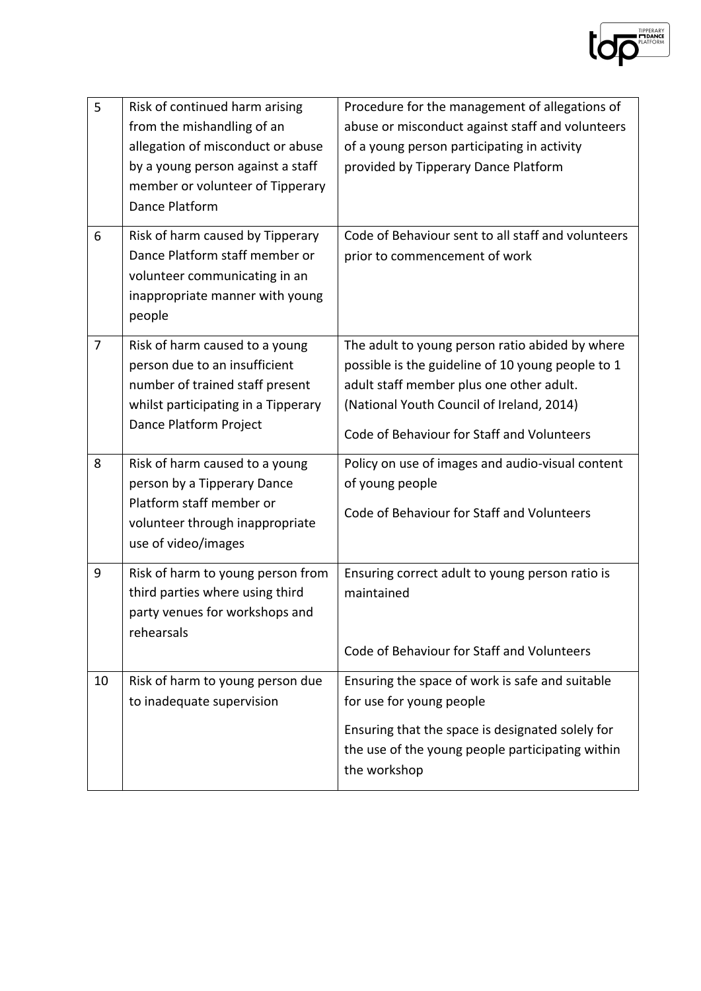